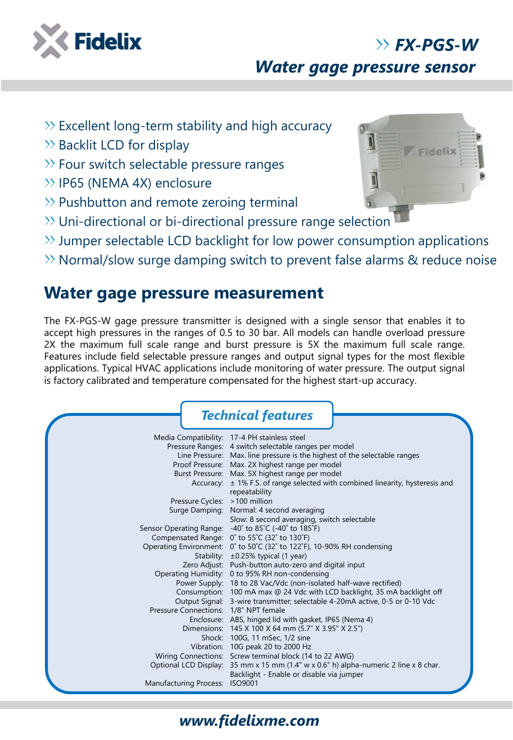

# *FX-PGS-W*

*Water gage pressure sensor*

- $\gg$  Excellent long-term stability and high accuracy
- $\gg$  Backlit LCD for display
- $\gg$  Four switch selectable pressure ranges
- >> IP65 (NEMA 4X) enclosure
- $\gg$  Pushbutton and remote zeroing terminal
- Uni-directional or bi-directional pressure range selection
- $\gg$  Jumper selectable LCD backlight for low power consumption applications
- $\gg$  Normal/slow surge damping switch to prevent false alarms & reduce noise

## **Water gage pressure measurement**

The FX-PGS-W gage pressure transmitter is designed with a single sensor that enables it to accept high pressures in the ranges of 0.5 to 30 bar. All models can handle overload pressure 2X the maximum full scale range and burst pressure is 5X the maximum full scale range. Features include field selectable pressure ranges and output signal types for the most flexible applications. Typical HVAC applications include monitoring of water pressure. The output signal is factory calibrated and temperature compensated for the highest start-up accuracy.

|                                       | <b>Technical features</b>                                                                                     |
|---------------------------------------|---------------------------------------------------------------------------------------------------------------|
|                                       | Media Compatibility: 17-4 PH stainless steel                                                                  |
|                                       | Pressure Ranges: 4 switch selectable ranges per model                                                         |
|                                       | Line Pressure: Max. line pressure is the highest of the selectable ranges                                     |
|                                       | Proof Pressure: Max. 2X highest range per model                                                               |
|                                       | Burst Pressure: Max. 5X highest range per model                                                               |
|                                       | Accuracy: $\pm$ 1% F.S. of range selected with combined linearity, hysteresis and                             |
|                                       | repeatability                                                                                                 |
| Pressure Cycles: > 100 million        |                                                                                                               |
|                                       | Surge Damping: Normal: 4 second averaging                                                                     |
|                                       | Slow: 8 second averaging, switch selectable                                                                   |
|                                       | Sensor Operating Range: -40° to 85°C (-40° to 185°F)                                                          |
|                                       | Compensated Range: 0° to 55°C (32° to 130°F)                                                                  |
|                                       | Operating Environment: 0° to 50°C (32° to 122°F), 10-90% RH condensing                                        |
|                                       | Stability: ±0.25% typical (1 year)                                                                            |
|                                       | Zero Adjust: Push-button auto-zero and digital input                                                          |
|                                       | Operating Humidity: 0 to 95% RH non-condensing                                                                |
|                                       | Power Supply: 18 to 28 Vac/Vdc (non-isolated half-wave rectified)                                             |
|                                       | Consumption: 100 mA max @ 24 Vdc with LCD backlight, 35 mA backlight off                                      |
|                                       | Output Signal: 3-wire transmitter; selectable 4-20mA active, 0-5 or 0-10 Vdc                                  |
| Pressure Connections: 1/8" NPT female |                                                                                                               |
|                                       | Enclosure: ABS, hinged lid with gasket, IP65 (Nema 4)                                                         |
|                                       | Dimensions: 145 X 100 X 64 mm (5.7" X 3.95" X 2.5")                                                           |
|                                       | Shock: 100G, 11 mSec, 1/2 sine                                                                                |
|                                       | Vibration: 10G peak 20 to 2000 Hz                                                                             |
|                                       | Wiring Connections: Screw terminal block (14 to 22 AWG)                                                       |
|                                       | Optional LCD Display: 35 mm x 15 mm $(1.4'' \text{ w} \times 0.6'' \text{ h})$ alpha-numeric 2 line x 8 char. |
|                                       | Backlight - Enable or disable via jumper                                                                      |
| Manufacturing Process: ISO9001        |                                                                                                               |



### *www.fidelixme.com*